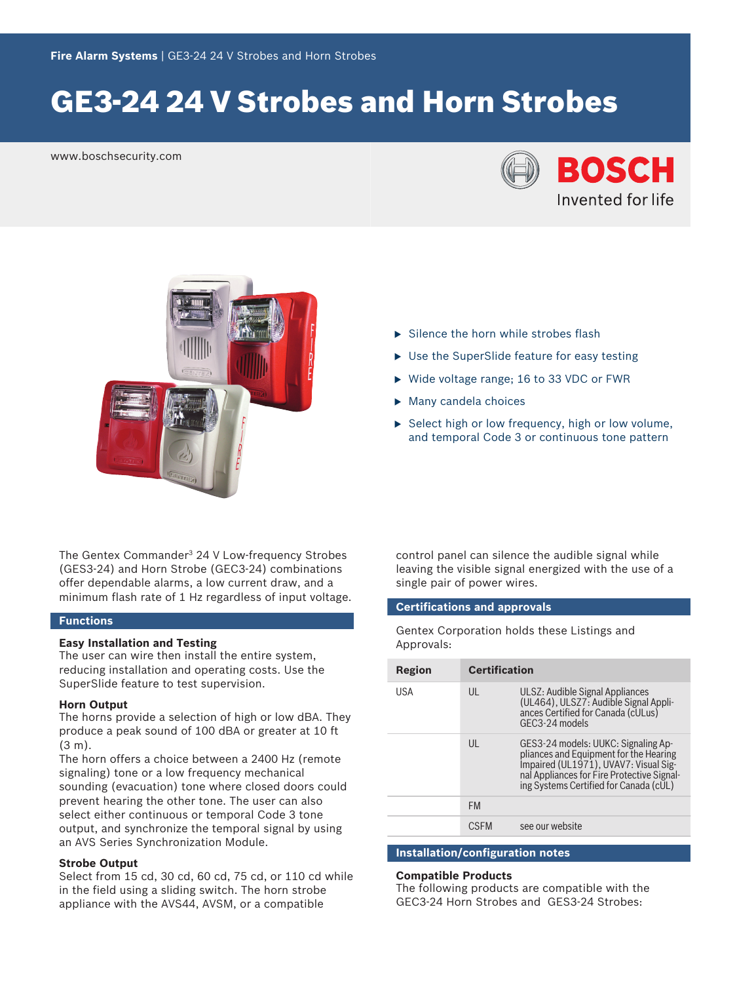# GE3‑24 24 V Strobes and Horn Strobes

www.boschsecurity.com





The Gentex Commander<sup>3</sup> 24 V Low‑frequency Strobes (GES3‑24) and Horn Strobe (GEC3‑24) combinations offer dependable alarms, a low current draw, and a minimum flash rate of 1 Hz regardless of input voltage.

#### **Functions**

#### **Easy Installation and Testing**

The user can wire then install the entire system, reducing installation and operating costs. Use the SuperSlide feature to test supervision.

#### **Horn Output**

The horns provide a selection of high or low dBA. They produce a peak sound of 100 dBA or greater at 10 ft (3 m).

The horn offers a choice between a 2400 Hz (remote signaling) tone or a low frequency mechanical sounding (evacuation) tone where closed doors could prevent hearing the other tone. The user can also select either continuous or temporal Code 3 tone output, and synchronize the temporal signal by using an AVS Series Synchronization Module.

#### **Strobe Output**

Select from 15 cd, 30 cd, 60 cd, 75 cd, or 110 cd while in the field using a sliding switch. The horn strobe appliance with the AVS44, AVSM, or a compatible

- $\blacktriangleright$  Silence the horn while strobes flash
- $\blacktriangleright$  Use the SuperSlide feature for easy testing
- $\triangleright$  Wide voltage range; 16 to 33 VDC or FWR
- $\blacktriangleright$  Many candela choices
- $\triangleright$  Select high or low frequency, high or low volume, and temporal Code 3 or continuous tone pattern

control panel can silence the audible signal while leaving the visible signal energized with the use of a single pair of power wires.

#### **Certifications and approvals**

Gentex Corporation holds these Listings and Approvals:

| Region | <b>Certification</b> |                                                                                                                                                                                                           |
|--------|----------------------|-----------------------------------------------------------------------------------------------------------------------------------------------------------------------------------------------------------|
| USA    | UL                   | ULSZ: Audible Signal Appliances<br>(UL464), ULSZ7: Audible Signal Appli-<br>ances Certified for Canada (cULus)<br>GFC3-24 models                                                                          |
|        | $\mathsf{U}$         | GES3-24 models: UUKC: Signaling Appliances and Equipment for the Hearing<br>Impaired (UL1971), UVAV7: Visual Sig-<br>nal Appliances for Fire Protective Signal-<br>ing Systems Certified for Canada (cUL) |
|        | <b>FM</b>            |                                                                                                                                                                                                           |
|        | <b>CSEM</b>          | see our website                                                                                                                                                                                           |

#### **Installation/configuration notes**

#### **Compatible Products**

The following products are compatible with the GEC3‑24 Horn Strobes and GES3‑24 Strobes: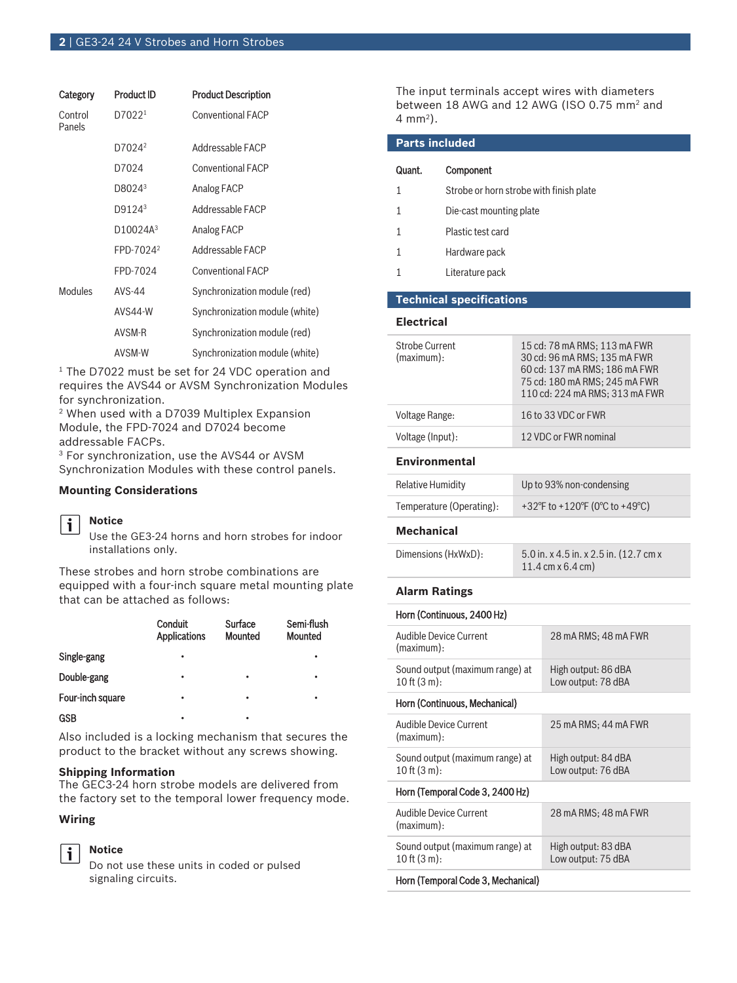| Category          | <b>Product ID</b>     | <b>Product Description</b>     |
|-------------------|-----------------------|--------------------------------|
| Control<br>Panels | D7022 <sup>1</sup>    | <b>Conventional FACP</b>       |
|                   | D7024 <sup>2</sup>    | Addressable FACP               |
|                   | D7024                 | <b>Conventional FACP</b>       |
|                   | D8024 <sup>3</sup>    | Analog FACP                    |
|                   | D9124 <sup>3</sup>    | Addressable FACP               |
|                   | D10024A <sup>3</sup>  | Analog FACP                    |
|                   | FPD-7024 <sup>2</sup> | Addressable FACP               |
|                   | FPD-7024              | <b>Conventional FACP</b>       |
| Modules           | AVS-44                | Synchronization module (red)   |
|                   | AVS44-W               | Synchronization module (white) |
|                   | AVSM-R                | Synchronization module (red)   |
|                   | AVSM-W                | Synchronization module (white) |

<sup>1</sup> The D7022 must be set for 24 VDC operation and requires the AVS44 or AVSM Synchronization Modules for synchronization.

2 When used with a D7039 Multiplex Expansion Module, the FPD-7024 and D7024 become addressable FACPs.

3 For synchronization, use the AVS44 or AVSM Synchronization Modules with these control panels.

#### **Mounting Considerations**



## **Notice**

Use the GE3‑24 horns and horn strobes for indoor installations only.

These strobes and horn strobe combinations are equipped with a four‑inch square metal mounting plate that can be attached as follows:

|                  | <b>Conduit</b><br><b>Applications</b> | Surface<br><b>Mounted</b> | Semi-flush<br><b>Mounted</b> |
|------------------|---------------------------------------|---------------------------|------------------------------|
| Single-gang      | ٠                                     |                           |                              |
| Double-gang      | ٠                                     | ٠                         | ٠                            |
| Four-inch square | ٠                                     | ٠                         | ٠                            |
| <b>GSB</b>       | ٠                                     | ٠                         |                              |

Also included is a locking mechanism that secures the product to the bracket without any screws showing.

#### **Shipping Information**

**Notice**

The GEC3‑24 horn strobe models are delivered from the factory set to the temporal lower frequency mode.

#### **Wiring**

# i

Do not use these units in coded or pulsed signaling circuits.

The input terminals accept wires with diameters between 18 AWG and 12 AWG (ISO 0.75 mm<sup>2</sup> and 4 mm<sup>2</sup> ).

| <b>Parts included</b>               |                                 |                                                                                                                                                                  |  |
|-------------------------------------|---------------------------------|------------------------------------------------------------------------------------------------------------------------------------------------------------------|--|
| Quant.                              | Component                       |                                                                                                                                                                  |  |
| 1                                   |                                 | Strobe or horn strobe with finish plate                                                                                                                          |  |
| 1                                   |                                 | Die-cast mounting plate                                                                                                                                          |  |
| 1                                   | Plastic test card               |                                                                                                                                                                  |  |
| 1                                   | Hardware pack                   |                                                                                                                                                                  |  |
| 1                                   | Literature pack                 |                                                                                                                                                                  |  |
|                                     | <b>Technical specifications</b> |                                                                                                                                                                  |  |
| <b>Electrical</b>                   |                                 |                                                                                                                                                                  |  |
| <b>Strobe Current</b><br>(maximum): |                                 | 15 cd: 78 mA RMS; 113 mA FWR<br>30 cd: 96 mA RMS: 135 mA FWR<br>60 cd: 137 mA RMS; 186 mA FWR<br>75 cd: 180 mA RMS; 245 mA FWR<br>110 cd: 224 mA RMS; 313 mA FWR |  |
| Voltage Range:                      |                                 | 16 to 33 VDC or FWR                                                                                                                                              |  |

#### **Environmental**

| Relative Humidity        | Up to 93% non-condensing       |
|--------------------------|--------------------------------|
| Temperature (Operating): | +32°F to +120°F (0°C to +49°C) |

Voltage (Input): 12 VDC or FWR nominal

#### **Mechanical**

| Dimensions (HxWxD): | 5.0 in. x 4.5 in. x 2.5 in. (12.7 cm x) |
|---------------------|-----------------------------------------|
|                     | 11.4 cm x 6.4 cm)                       |

#### **Alarm Ratings**

 $\overline{H}$  (Continuous)

| HOM (CONTINUOUS, 2400 HZ)                                    |                                           |
|--------------------------------------------------------------|-------------------------------------------|
| Audible Device Current<br>(maximum):                         | 28 mA RMS; 48 mA FWR                      |
| Sound output (maximum range) at<br>$10$ ft $(3 \text{ m})$ : | High output: 86 dBA<br>Low output: 78 dBA |
| Horn (Continuous, Mechanical)                                |                                           |
| Audible Device Current<br>(maximum):                         | 25 mA RMS; 44 mA FWR                      |
| Sound output (maximum range) at<br>$10$ ft $(3 m)$ :         | High output: 84 dBA<br>Low output: 76 dBA |
| Horn (Temporal Code 3, 2400 Hz)                              |                                           |
| Audible Device Current<br>(maximum):                         | 28 mA RMS; 48 mA FWR                      |
| Sound output (maximum range) at<br>$10$ ft $(3 m)$ :         | High output: 83 dBA<br>Low output: 75 dBA |
| Horn (Temporal Code 3, Mechanical)                           |                                           |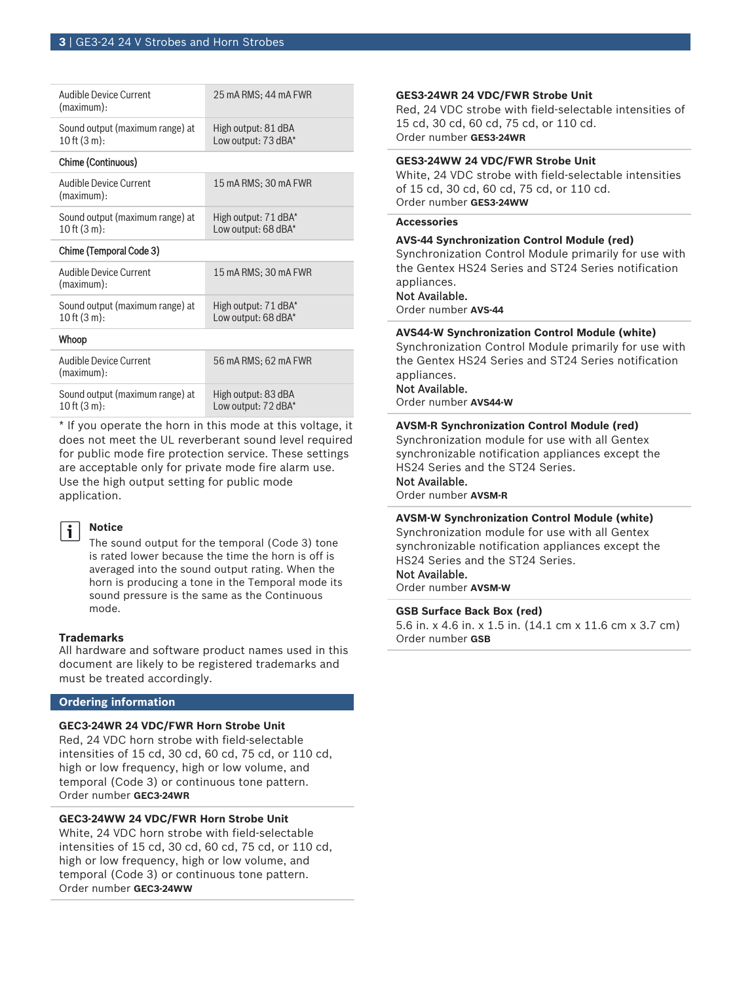| Audible Device Current<br>(maximum):                         | 25 mA RMS; 44 mA FWR                        |
|--------------------------------------------------------------|---------------------------------------------|
| Sound output (maximum range) at<br>$10$ ft $(3 \text{ m})$ : | High output: 81 dBA<br>Low output: 73 dBA*  |
| Chime (Continuous)                                           |                                             |
| <b>Audible Device Current</b><br>(maximum):                  | 15 mA RMS; 30 mA FWR                        |
| Sound output (maximum range) at<br>$10$ ft $(3 \text{ m})$ : | High output: 71 dBA*<br>Low output: 68 dBA* |
| Chime (Temporal Code 3)                                      |                                             |
| Audible Device Current<br>(maximum):                         | 15 mA RMS; 30 mA FWR                        |
| Sound output (maximum range) at<br>$10$ ft $(3 \text{ m})$ : | High output: 71 dBA*<br>Low output: 68 dBA* |
| Whoop                                                        |                                             |
| Audible Device Current<br>(maximum):                         | 56 mA RMS: 62 mA FWR                        |
|                                                              |                                             |

Sound output (maximum range) at 10 ft (3 m): High output: 83 dBA Low output: 72 dBA\* \* If you operate the horn in this mode at this voltage, it

does not meet the UL reverberant sound level required for public mode fire protection service. These settings are acceptable only for private mode fire alarm use. Use the high output setting for public mode application.



#### **Notice**

The sound output for the temporal (Code 3) tone is rated lower because the time the horn is off is averaged into the sound output rating. When the horn is producing a tone in the Temporal mode its sound pressure is the same as the Continuous mode.

#### **Trademarks**

All hardware and software product names used in this document are likely to be registered trademarks and must be treated accordingly.

#### **Ordering information**

#### **GEC3‑24WR 24 VDC/FWR Horn Strobe Unit**

Red, 24 VDC horn strobe with field-selectable intensities of 15 cd, 30 cd, 60 cd, 75 cd, or 110 cd, high or low frequency, high or low volume, and temporal (Code 3) or continuous tone pattern. Order number **GEC3-24WR**

#### **GEC3‑24WW 24 VDC/FWR Horn Strobe Unit**

White, 24 VDC horn strobe with field-selectable intensities of 15 cd, 30 cd, 60 cd, 75 cd, or 110 cd, high or low frequency, high or low volume, and temporal (Code 3) or continuous tone pattern. Order number **GEC3-24WW**

#### **GES3‑24WR 24 VDC/FWR Strobe Unit**

Red, 24 VDC strobe with field‑selectable intensities of 15 cd, 30 cd, 60 cd, 75 cd, or 110 cd. Order number **GES3-24WR**

#### **GES3‑24WW 24 VDC/FWR Strobe Unit**

White, 24 VDC strobe with field-selectable intensities of 15 cd, 30 cd, 60 cd, 75 cd, or 110 cd. Order number **GES3-24WW**

#### **Accessories**

#### **AVS‑44 Synchronization Control Module (red)**

Synchronization Control Module primarily for use with the Gentex HS24 Series and ST24 Series notification appliances.

#### Not Available.

Order number **AVS-44**

#### **AVS44‑W Synchronization Control Module (white)**

Synchronization Control Module primarily for use with the Gentex HS24 Series and ST24 Series notification appliances.

### Not Available.

Order number **AVS44-W**

### **AVSM‑R Synchronization Control Module (red)**

Synchronization module for use with all Gentex synchronizable notification appliances except the HS24 Series and the ST24 Series.

### Not Available.

Order number **AVSM-R**

#### **AVSM‑W Synchronization Control Module (white)**

Synchronization module for use with all Gentex synchronizable notification appliances except the HS24 Series and the ST24 Series.

### Not Available.

Order number **AVSM-W**

#### **GSB Surface Back Box (red)**

5.6 in. x 4.6 in. x 1.5 in. (14.1 cm x 11.6 cm x 3.7 cm) Order number **GSB**